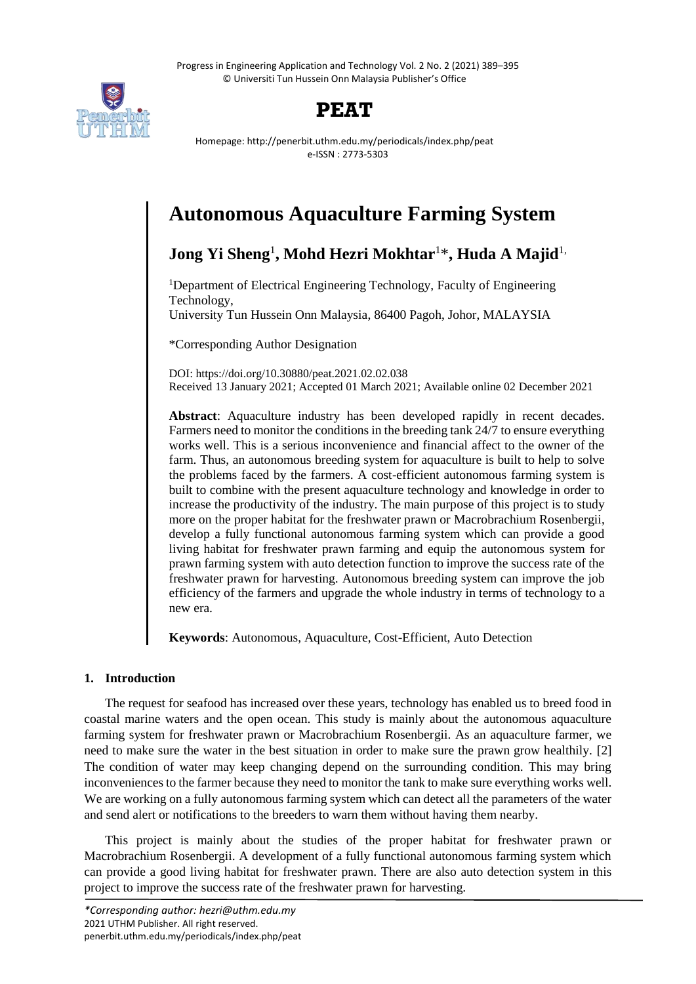Progress in Engineering Application and Technology Vol. 2 No. 2 (2021) 389–395 © Universiti Tun Hussein Onn Malaysia Publisher's Office



# **PEAT**

Homepage: http://penerbit.uthm.edu.my/periodicals/index.php/peat e-ISSN : 2773-5303

# **Autonomous Aquaculture Farming System**

**Jong Yi Sheng**<sup>1</sup> **, Mohd Hezri Mokhtar**<sup>1</sup>\* **, Huda A Majid**1,

<sup>1</sup>Department of Electrical Engineering Technology, Faculty of Engineering Technology,

University Tun Hussein Onn Malaysia, 86400 Pagoh, Johor, MALAYSIA

\*Corresponding Author Designation

DOI: https://doi.org/10.30880/peat.2021.02.02.038 Received 13 January 2021; Accepted 01 March 2021; Available online 02 December 2021

**Abstract**: Aquaculture industry has been developed rapidly in recent decades. Farmers need to monitor the conditions in the breeding tank 24/7 to ensure everything works well. This is a serious inconvenience and financial affect to the owner of the farm. Thus, an autonomous breeding system for aquaculture is built to help to solve the problems faced by the farmers. A cost-efficient autonomous farming system is built to combine with the present aquaculture technology and knowledge in order to increase the productivity of the industry. The main purpose of this project is to study more on the proper habitat for the freshwater prawn or Macrobrachium Rosenbergii, develop a fully functional autonomous farming system which can provide a good living habitat for freshwater prawn farming and equip the autonomous system for prawn farming system with auto detection function to improve the success rate of the freshwater prawn for harvesting. Autonomous breeding system can improve the job efficiency of the farmers and upgrade the whole industry in terms of technology to a new era.

**Keywords**: Autonomous, Aquaculture, Cost-Efficient, Auto Detection

# **1. Introduction**

The request for seafood has increased over these years, technology has enabled us to breed food in coastal marine waters and the open ocean. This study is mainly about the autonomous aquaculture farming system for freshwater prawn or Macrobrachium Rosenbergii. As an aquaculture farmer, we need to make sure the water in the best situation in order to make sure the prawn grow healthily. [2] The condition of water may keep changing depend on the surrounding condition. This may bring inconveniences to the farmer because they need to monitor the tank to make sure everything works well. We are working on a fully autonomous farming system which can detect all the parameters of the water and send alert or notifications to the breeders to warn them without having them nearby.

This project is mainly about the studies of the proper habitat for freshwater prawn or Macrobrachium Rosenbergii. A development of a fully functional autonomous farming system which can provide a good living habitat for freshwater prawn. There are also auto detection system in this project to improve the success rate of the freshwater prawn for harvesting.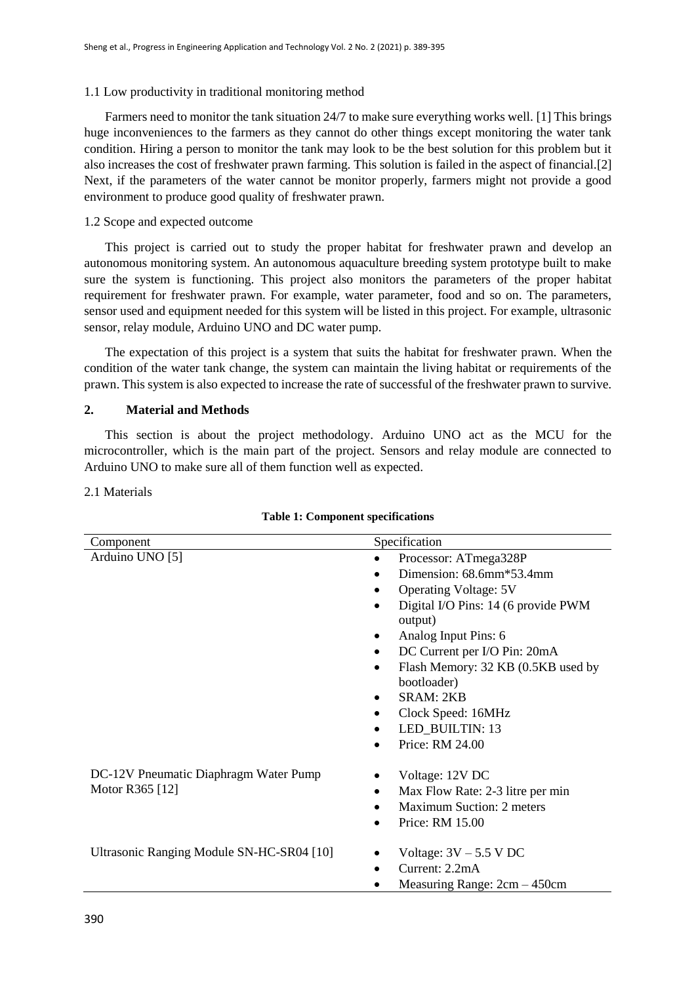# 1.1 Low productivity in traditional monitoring method

Farmers need to monitor the tank situation 24/7 to make sure everything works well. [1] This brings huge inconveniences to the farmers as they cannot do other things except monitoring the water tank condition. Hiring a person to monitor the tank may look to be the best solution for this problem but it also increases the cost of freshwater prawn farming. This solution is failed in the aspect of financial.[2] Next, if the parameters of the water cannot be monitor properly, farmers might not provide a good environment to produce good quality of freshwater prawn.

### 1.2 Scope and expected outcome

This project is carried out to study the proper habitat for freshwater prawn and develop an autonomous monitoring system. An autonomous aquaculture breeding system prototype built to make sure the system is functioning. This project also monitors the parameters of the proper habitat requirement for freshwater prawn. For example, water parameter, food and so on. The parameters, sensor used and equipment needed for this system will be listed in this project. For example, ultrasonic sensor, relay module, Arduino UNO and DC water pump.

The expectation of this project is a system that suits the habitat for freshwater prawn. When the condition of the water tank change, the system can maintain the living habitat or requirements of the prawn. This system is also expected to increase the rate of successful of the freshwater prawn to survive.

# **2. Material and Methods**

This section is about the project methodology. Arduino UNO act as the MCU for the microcontroller, which is the main part of the project. Sensors and relay module are connected to Arduino UNO to make sure all of them function well as expected.

#### 2.1 Materials

| Component                                                | Specification                                                                                                                                                                                                                                                                                                                                |  |  |
|----------------------------------------------------------|----------------------------------------------------------------------------------------------------------------------------------------------------------------------------------------------------------------------------------------------------------------------------------------------------------------------------------------------|--|--|
| Arduino UNO [5]                                          | Processor: ATmega328P<br>Dimension: $68.6$ mm $*53.4$ mm<br><b>Operating Voltage: 5V</b><br>Digital I/O Pins: 14 (6 provide PWM<br>output)<br>Analog Input Pins: 6<br>DC Current per I/O Pin: 20mA<br>Flash Memory: 32 KB (0.5KB used by<br>٠<br>bootloader)<br><b>SRAM: 2KB</b><br>Clock Speed: 16MHz<br>LED_BUILTIN: 13<br>Price: RM 24.00 |  |  |
| DC-12V Pneumatic Diaphragm Water Pump<br>Motor R365 [12] | Voltage: 12V DC<br>Max Flow Rate: 2-3 litre per min<br><b>Maximum Suction: 2 meters</b><br>Price: RM 15.00                                                                                                                                                                                                                                   |  |  |
| Ultrasonic Ranging Module SN-HC-SR04 [10]                | Voltage: $3V - 5.5$ V DC<br>Current: 2.2mA<br>Measuring Range: $2cm - 450cm$                                                                                                                                                                                                                                                                 |  |  |

#### **Table 1: Component specifications**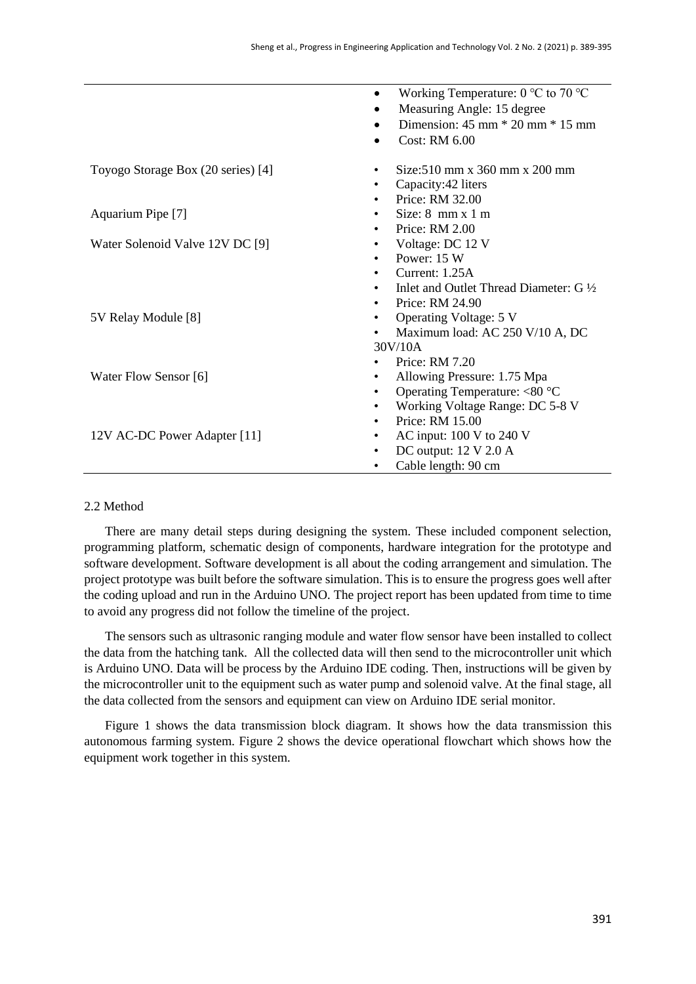|                                    | Working Temperature: $0^{\circ}$ C to $70^{\circ}$ C       |  |  |  |
|------------------------------------|------------------------------------------------------------|--|--|--|
|                                    | Measuring Angle: 15 degree                                 |  |  |  |
|                                    | Dimension: $45 \text{ mm} * 20 \text{ mm} * 15 \text{ mm}$ |  |  |  |
|                                    | <b>Cost: RM 6.00</b>                                       |  |  |  |
|                                    |                                                            |  |  |  |
| Toyogo Storage Box (20 series) [4] | $Size: 510$ mm x 360 mm x 200 mm<br>٠                      |  |  |  |
|                                    | Capacity: 42 liters<br>$\bullet$                           |  |  |  |
|                                    | Price: RM 32.00<br>$\bullet$                               |  |  |  |
| Aquarium Pipe [7]                  | Size: $8 \text{ mm} \times 1 \text{ m}$<br>$\bullet$       |  |  |  |
|                                    | Price: RM 2.00<br>$\bullet$                                |  |  |  |
| Water Solenoid Valve 12V DC [9]    | Voltage: DC 12 V<br>٠                                      |  |  |  |
|                                    | Power: 15 W<br>$\bullet$                                   |  |  |  |
|                                    | Current: $1.25A$                                           |  |  |  |
|                                    | Inlet and Outlet Thread Diameter: $G\frac{1}{2}$           |  |  |  |
|                                    | Price: RM 24.90<br>$\bullet$                               |  |  |  |
| 5V Relay Module [8]                | <b>Operating Voltage: 5 V</b><br>$\bullet$                 |  |  |  |
|                                    | Maximum load: AC 250 V/10 A, DC<br>$\bullet$               |  |  |  |
|                                    | 30V/10A                                                    |  |  |  |
|                                    | Price: RM 7.20                                             |  |  |  |
| Water Flow Sensor [6]              | Allowing Pressure: 1.75 Mpa<br>٠                           |  |  |  |
|                                    | Operating Temperature: $<80$ °C<br>٠                       |  |  |  |
|                                    | Working Voltage Range: DC 5-8 V<br>$\bullet$               |  |  |  |
|                                    | Price: RM 15.00<br>$\bullet$                               |  |  |  |
| 12V AC-DC Power Adapter [11]       | AC input: $100 \text{ V}$ to $240 \text{ V}$<br>$\bullet$  |  |  |  |
|                                    | DC output: $12 \text{ V } 2.0 \text{ A}$<br>$\bullet$      |  |  |  |
|                                    | Cable length: 90 cm<br>٠                                   |  |  |  |

# 2.2 Method

There are many detail steps during designing the system. These included component selection, programming platform, schematic design of components, hardware integration for the prototype and software development. Software development is all about the coding arrangement and simulation. The project prototype was built before the software simulation. This is to ensure the progress goes well after the coding upload and run in the Arduino UNO. The project report has been updated from time to time to avoid any progress did not follow the timeline of the project.

The sensors such as ultrasonic ranging module and water flow sensor have been installed to collect the data from the hatching tank. All the collected data will then send to the microcontroller unit which is Arduino UNO. Data will be process by the Arduino IDE coding. Then, instructions will be given by the microcontroller unit to the equipment such as water pump and solenoid valve. At the final stage, all the data collected from the sensors and equipment can view on Arduino IDE serial monitor.

Figure 1 shows the data transmission block diagram. It shows how the data transmission this autonomous farming system. Figure 2 shows the device operational flowchart which shows how the equipment work together in this system.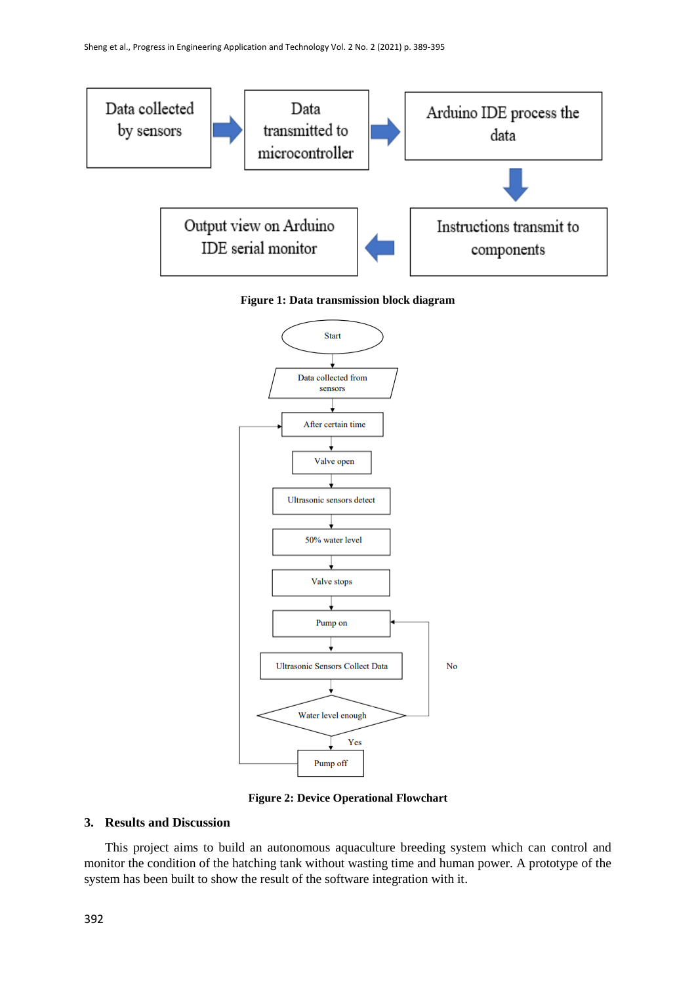

**Figure 1: Data transmission block diagram**



**Figure 2: Device Operational Flowchart**

# **3. Results and Discussion**

This project aims to build an autonomous aquaculture breeding system which can control and monitor the condition of the hatching tank without wasting time and human power. A prototype of the system has been built to show the result of the software integration with it.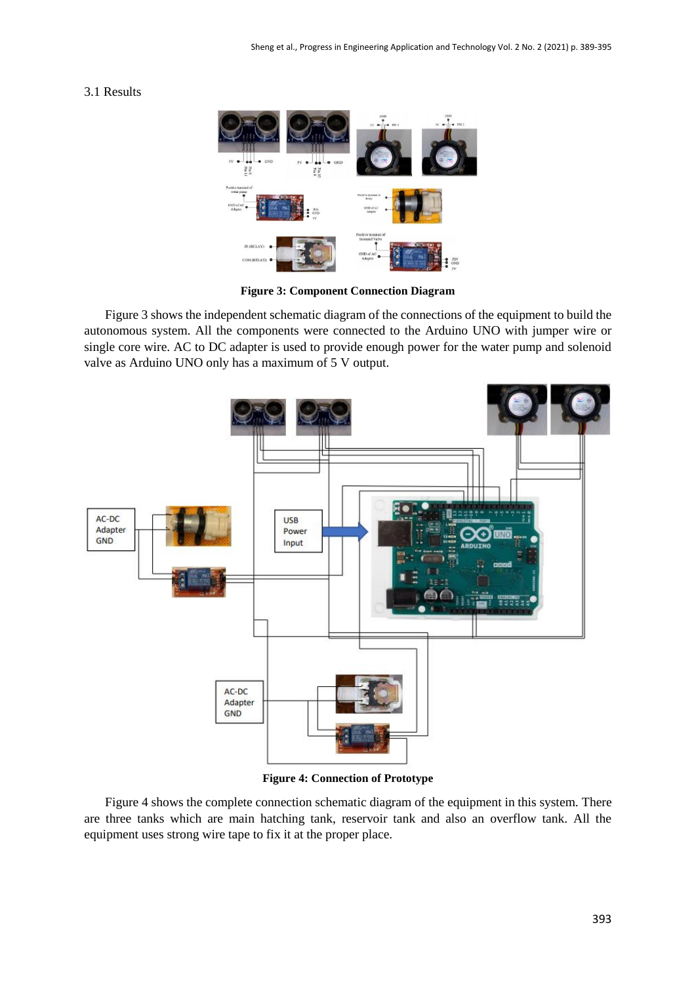# 3.1 Results



**Figure 3: Component Connection Diagram**

Figure 3 shows the independent schematic diagram of the connections of the equipment to build the autonomous system. All the components were connected to the Arduino UNO with jumper wire or single core wire. AC to DC adapter is used to provide enough power for the water pump and solenoid valve as Arduino UNO only has a maximum of 5 V output.



**Figure 4: Connection of Prototype**

Figure 4 shows the complete connection schematic diagram of the equipment in this system. There are three tanks which are main hatching tank, reservoir tank and also an overflow tank. All the equipment uses strong wire tape to fix it at the proper place.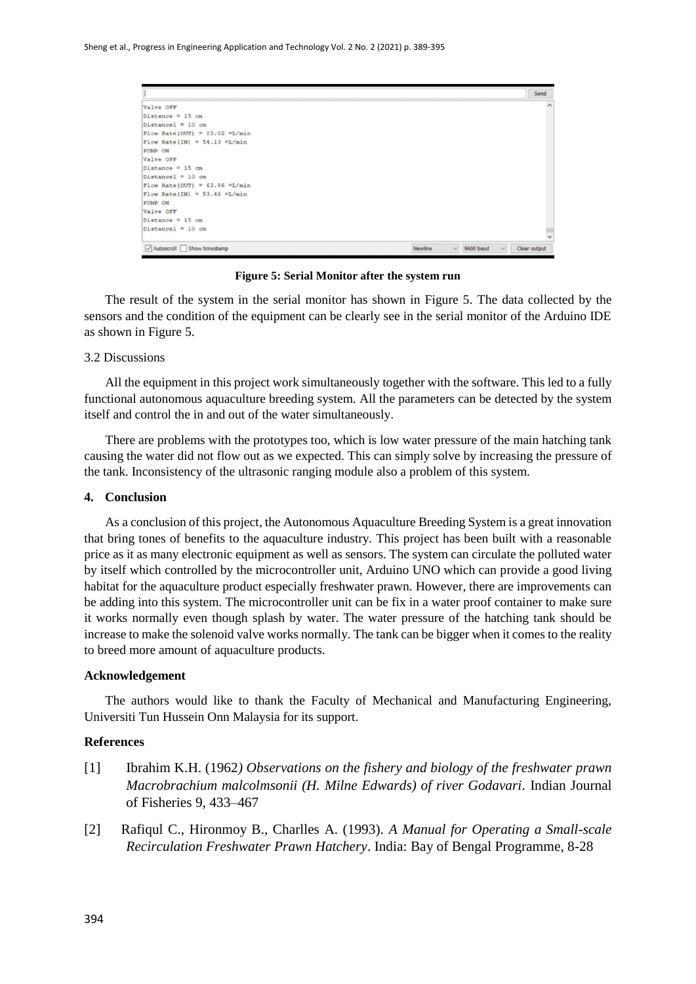|                                   |         |                                     | Send         |
|-----------------------------------|---------|-------------------------------------|--------------|
| Valve OFF                         |         |                                     | $\wedge$     |
| Distance = $15$ cm                |         |                                     |              |
| Distance1 = $10 cm$               |         |                                     |              |
| Flow Rate (OUT) = 83.02 = $L/min$ |         |                                     |              |
| Flow Rate (IN) = 54.13 = L/min    |         |                                     |              |
| PUMP ON                           |         |                                     |              |
| Valve OFF                         |         |                                     |              |
| Distance = $15$ cm                |         |                                     |              |
| Distance1 = $10 cm$               |         |                                     |              |
| Flow Rate (OUT) = $63.86$ =L/min  |         |                                     |              |
| Flow Rate (IN) = 53.46 = $L/min$  |         |                                     |              |
| PUMP ON                           |         |                                     |              |
| Valve OFF                         |         |                                     |              |
| $Distance = 15 cm$                |         |                                     |              |
| $Distance1 = 10 cm$               |         |                                     | $\checkmark$ |
| Autoscroll Show timestamp         | Newline | $\sim$<br>9600 baud<br>$\checkmark$ | Clear output |

**Figure 5: Serial Monitor after the system run**

The result of the system in the serial monitor has shown in Figure 5. The data collected by the sensors and the condition of the equipment can be clearly see in the serial monitor of the Arduino IDE as shown in Figure 5.

### 3.2 Discussions

All the equipment in this project work simultaneously together with the software. This led to a fully functional autonomous aquaculture breeding system. All the parameters can be detected by the system itself and control the in and out of the water simultaneously.

There are problems with the prototypes too, which is low water pressure of the main hatching tank causing the water did not flow out as we expected. This can simply solve by increasing the pressure of the tank. Inconsistency of the ultrasonic ranging module also a problem of this system.

### **4. Conclusion**

As a conclusion of this project, the Autonomous Aquaculture Breeding System is a great innovation that bring tones of benefits to the aquaculture industry. This project has been built with a reasonable price as it as many electronic equipment as well as sensors. The system can circulate the polluted water by itself which controlled by the microcontroller unit, Arduino UNO which can provide a good living habitat for the aquaculture product especially freshwater prawn. However, there are improvements can be adding into this system. The microcontroller unit can be fix in a water proof container to make sure it works normally even though splash by water. The water pressure of the hatching tank should be increase to make the solenoid valve works normally. The tank can be bigger when it comes to the reality to breed more amount of aquaculture products.

### **Acknowledgement**

The authors would like to thank the Faculty of Mechanical and Manufacturing Engineering, Universiti Tun Hussein Onn Malaysia for its support.

# **References**

- [1] Ibrahim K.H. (1962*) Observations on the fishery and biology of the freshwater prawn Macrobrachium malcolmsonii (H. Milne Edwards) of river Godavari*. Indian Journal of Fisheries 9, 433–467
- [2] Rafiqul C., Hironmoy B., Charlles A. (1993). *A Manual for Operating a Small-scale Recirculation Freshwater Prawn Hatchery*. India: Bay of Bengal Programme, 8-28